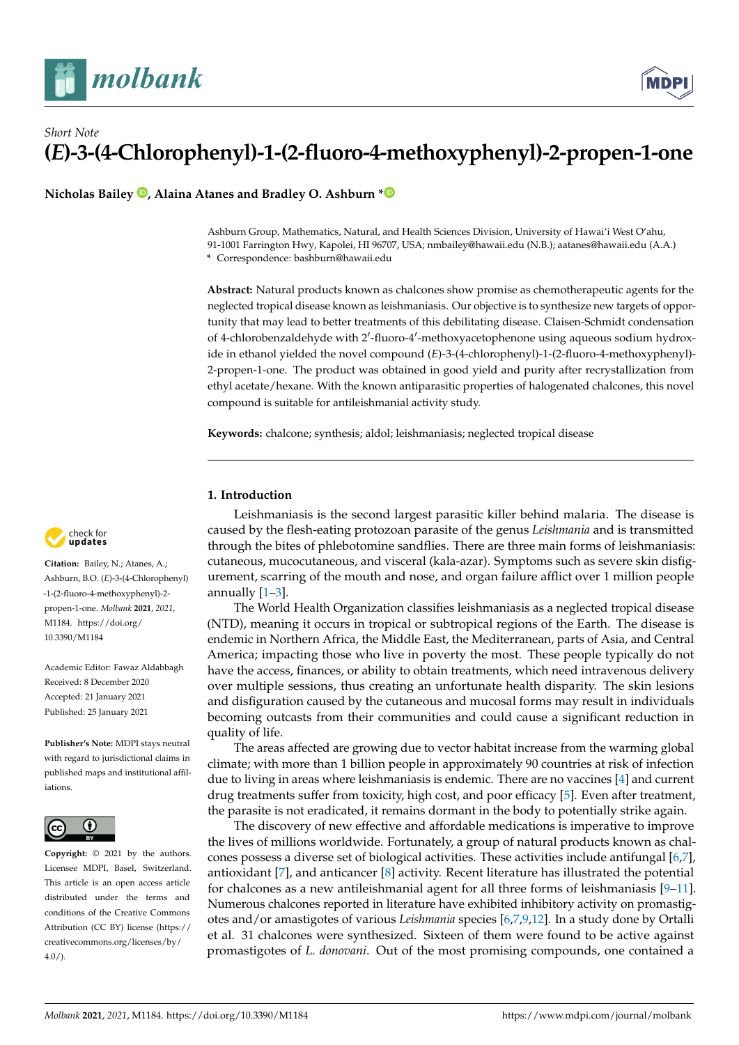

# *Short Note* **(***E***)-3-(4-Chlorophenyl)-1-(2-fluoro-4-methoxyphenyl)-2-propen-1-one**

**Nicholas Bailey [,](https://orcid.org/0000-0002-3265-0855) Alaina Atanes and Bradley O. Ashburn [\\*](https://orcid.org/0000-0001-8299-3496)**

Ashburn Group, Mathematics, Natural, and Health Sciences Division, University of Hawai'i West O'ahu, 91-1001 Farrington Hwy, Kapolei, HI 96707, USA; nmbailey@hawaii.edu (N.B.); aatanes@hawaii.edu (A.A.) **\*** Correspondence: bashburn@hawaii.edu

**Abstract:** Natural products known as chalcones show promise as chemotherapeutic agents for the neglected tropical disease known as leishmaniasis. Our objective is to synthesize new targets of opportunity that may lead to better treatments of this debilitating disease. Claisen-Schmidt condensation of 4-chlorobenzaldehyde with 2'-fluoro-4'-methoxyacetophenone using aqueous sodium hydroxide in ethanol yielded the novel compound (*E*)-3-(4-chlorophenyl)-1-(2-fluoro-4-methoxyphenyl)- 2-propen-1-one. The product was obtained in good yield and purity after recrystallization from ethyl acetate/hexane. With the known antiparasitic properties of halogenated chalcones, this novel compound is suitable for antileishmanial activity study.

**Keywords:** chalcone; synthesis; aldol; leishmaniasis; neglected tropical disease

## **1. Introduction**

Leishmaniasis is the second largest parasitic killer behind malaria. The disease is caused by the flesh-eating protozoan parasite of the genus *Leishmania* and is transmitted through the bites of phlebotomine sandflies. There are three main forms of leishmaniasis: cutaneous, mucocutaneous, and visceral (kala-azar). Symptoms such as severe skin disfigurement, scarring of the mouth and nose, and organ failure afflict over 1 million people annually [\[1–](#page-2-0)[3\]](#page-3-0).

The World Health Organization classifies leishmaniasis as a neglected tropical disease (NTD), meaning it occurs in tropical or subtropical regions of the Earth. The disease is endemic in Northern Africa, the Middle East, the Mediterranean, parts of Asia, and Central America; impacting those who live in poverty the most. These people typically do not have the access, finances, or ability to obtain treatments, which need intravenous delivery over multiple sessions, thus creating an unfortunate health disparity. The skin lesions and disfiguration caused by the cutaneous and mucosal forms may result in individuals becoming outcasts from their communities and could cause a significant reduction in quality of life.

The areas affected are growing due to vector habitat increase from the warming global climate; with more than 1 billion people in approximately 90 countries at risk of infection due to living in areas where leishmaniasis is endemic. There are no vaccines [\[4\]](#page-3-1) and current drug treatments suffer from toxicity, high cost, and poor efficacy [\[5\]](#page-3-2). Even after treatment, the parasite is not eradicated, it remains dormant in the body to potentially strike again.

The discovery of new effective and affordable medications is imperative to improve the lives of millions worldwide. Fortunately, a group of natural products known as chalcones possess a diverse set of biological activities. These activities include antifungal [\[6](#page-3-3)[,7\]](#page-3-4), antioxidant [\[7\]](#page-3-4), and anticancer [\[8\]](#page-3-5) activity. Recent literature has illustrated the potential for chalcones as a new antileishmanial agent for all three forms of leishmaniasis [\[9](#page-3-6)[–11\]](#page-3-7). Numerous chalcones reported in literature have exhibited inhibitory activity on promastigotes and/or amastigotes of various *Leishmania* species [\[6,](#page-3-3)[7,](#page-3-4)[9](#page-3-6)[,12\]](#page-3-8). In a study done by Ortalli et al. 31 chalcones were synthesized. Sixteen of them were found to be active against promastigotes of *L. donovani*. Out of the most promising compounds, one contained a



**Citation:** Bailey, N.; Atanes, A.; Ashburn, B.O. (*E*)-3-(4-Chlorophenyl) -1-(2-fluoro-4-methoxyphenyl)-2 propen-1-one. *Molbank* **2021**, *2021*, M1184. [https://doi.org/](https://doi.org/10.3390/M1184) [10.3390/M1184](https://doi.org/10.3390/M1184)

Academic Editor: Fawaz Aldabbagh Received: 8 December 2020 Accepted: 21 January 2021 Published: 25 January 2021

**Publisher's Note:** MDPI stays neutral with regard to jurisdictional claims in published maps and institutional affiliations.



**Copyright:** © 2021 by the authors. Licensee MDPI, Basel, Switzerland. This article is an open access article distributed under the terms and conditions of the Creative Commons Attribution (CC BY) license (https:/[/](https://creativecommons.org/licenses/by/4.0/) [creativecommons.org/licenses/by/](https://creativecommons.org/licenses/by/4.0/)  $4.0/$ ).

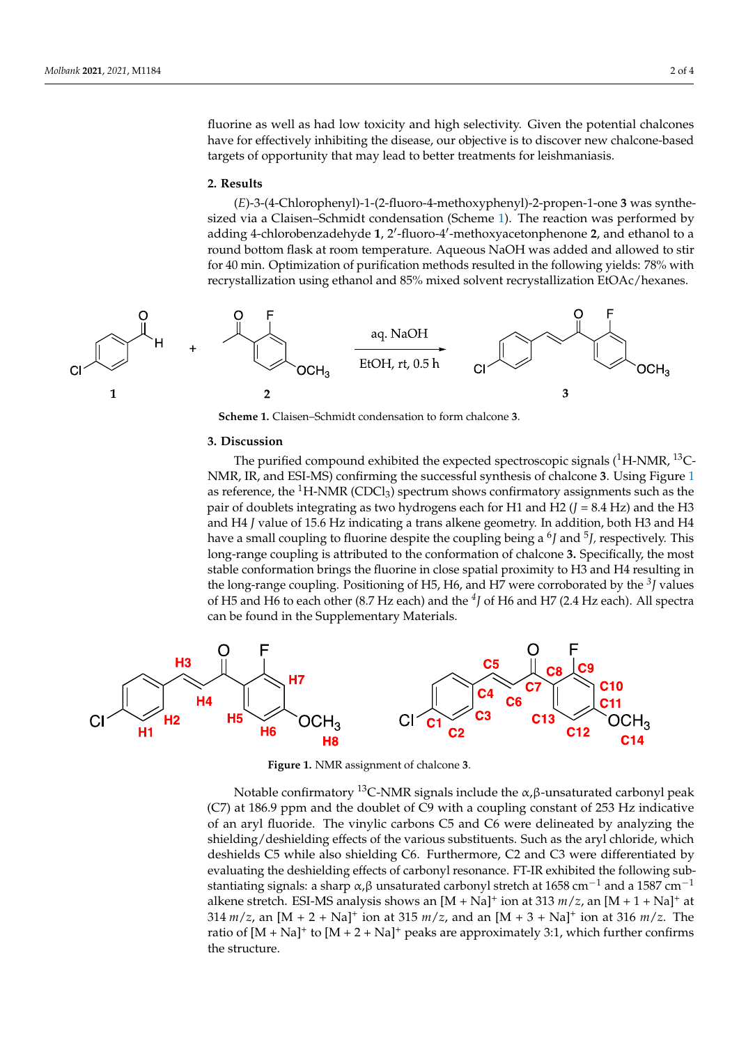fluorine as well as had low toxicity and high selectivity. Given the potential chalcones have for effectively inhibiting the disease, our objective is to discover new chalcone-based targets of opportunity that may lead to better treatments for leishmaniasis.

tained a fluorine as well as had low to consider a fluorine as had low to consider a fluorine as  $\alpha$ 

#### **2. Results** (*E*)-3-(4-Chlorophenyl)-1-(2-fluoro-4-methoxyphenyl)-2-propen-1-one **3** was synthe-

(*E*)-3-(4-Chlorophenyl)-1-(2-fluoro-4-methoxyphenyl)-2-propen-1-one 3 was synthe-sized via a Claisen–Schmidt condensation (Scheme [1\)](#page-1-0). The reaction was performed by adding 4-chlorobenzadehyde 1, 2'-fluoro-4'-methoxyacetonphenone 2, and ethanol to a round bottom flask at room temperature. Aqueous NaOH was added and allowed to stir for 40 min. Optimization of purification methods resulted in the following yields: 78% with recrystallization using ethanol and 85% mixed solvent recrystallization EtOAc/hexanes. anes.

<span id="page-1-0"></span>

**Scheme 1.** Claisen–Schmidt condensation to form chalcone **3**. **Scheme 1.** Claisen–Schmidt condensation to form chalcone **3**. NMR, IR, CROSSIL CONFIRMING TO NOTHER SHAPPED 3.

#### **3. Discussion**  $\alpha$  reference, the 1H-NMR (CDCl3) spectrum shows confirmation shows confirmation shows confirmation such as the 19

The purified compound exhibited the expected spectroscopic signals (<sup>1</sup>H-NMR, <sup>13</sup>C-<br>NMP, IP, and ESI MS) antiming the quesseful synthesis of chalanna 2. Using Figure 1. N[MR](#page-1-1), IR, and ESI-MS) confirming the successful synthesis of chalcone **3**. Using Figure 1 as reference, the  ${}^{1}$ H-NMR (CDCl<sub>3</sub>) spectrum shows confirmatory assignments such as the pair of doublets integrating as two hydrogens each for H1 and H2  $(J = 8.4 \text{ Hz})$  and the H3 and H4 J value of 15.6 Hz indicating a trans alkene geometry. In addition, both H3 and H4<br>have a small asymling to fluoring despite the asymling heines 6L and 5L gases atively. This have a small coupling to fluorine despite the coupling being a <sup>6</sup>*J* and <sup>5</sup>*J*, respectively. This long-range coupling is attributed to the conformation of chalcone 3. Specifically, the most the long-range coupling. Positioning of H5, H6, and H7 were corroborated by the <sup>3</sup>J values of H5 and H6 to each other (8.7 Hz each) and the  $4$ *J* of H6 and H7 (2.4 Hz each). All spectra each data are to each each (coupling that the ) spectra can be found in the Supplementary Materials. stable conformation brings the fluorine in close spatial proximity to H3 and H4 resulting in

<span id="page-1-1"></span>

**Figure 1.** NMR assignment of chalcone **3**. **Figure 1.** NMR assignment of chalcone **3**.

**Notable confirmatory <sup>13</sup>C-NMR signals include the α,β-unsaturated carbonyl peak**  $N$  at 100.9 ppm and the doublet of  $C$  which a coupling constant of 255 Hz multanye of an aryl habitate. The virying carbons  $\epsilon_0$  and  $\epsilon_0$  were demicated by analyzing the shielding/deshielding effects of the various substituents. Such as the aryl chloride, which deshields C5 while also shielding C6. Furthermore, C2 and C3 were differentiated by evaluating the deshielding effects of carbonyl resonance. FT-IR exhibited the following substantiating signals: a sharp  $\alpha$ ,  $\beta$  unsaturated carbonyl stretch at 1658 cm<sup>-1</sup> and a 1587 cm<sup>-1</sup> alkene stretch. ESI-MS analysis shows an  $[M + Na]^+$  ion at 313  $m/z$ , an  $[M + 1 + Na]^+$  at  $314 \frac{m}{z}$ , an  $[M + 2 + Na]^+$  ion at 315  $\frac{m}{z}$ , and an  $[M + 3 + Na]^+$  ion at 316  $\frac{m}{z}$ . The ratio of  $[M + Na]$ <sup>+</sup> to  $[M + 2 + Na]$ <sup>+</sup> peaks are approximately 3:1, which further confirms *m*/*z*, and at 315 *m*/*z*, and 315 *m*/*z*, and 316 *m*/*z*. The ratio of  $\frac{1}{2}$ (C7) at 186.9 ppm and the doublet of C9 with a coupling constant of 253 Hz indicative of an aryl fluoride. The vinylic carbons C5 and C6 were delineated by analyzing the<br>objektive (deshielding effects of the various substituents, Such as the exul phlaride, which alkene stretch. ESI-MS analysis shows an [M + Na]⁺ ion at 313 *m*/*z*, an [M + 1 + Na]⁺ at 314 the structure.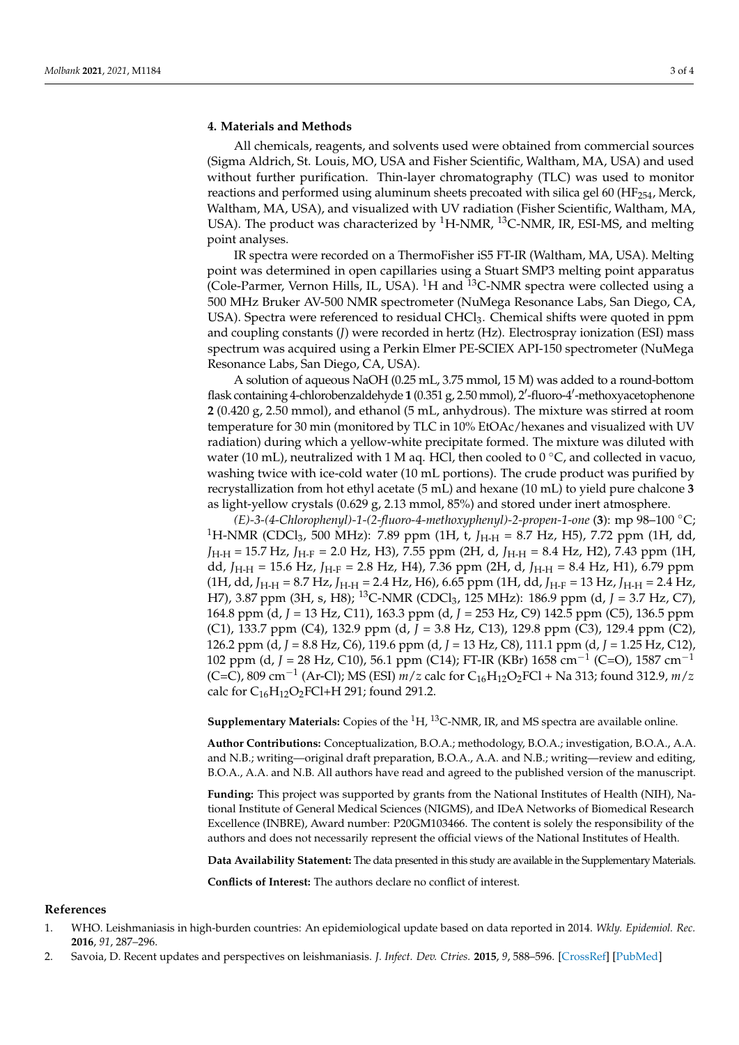# **4. Materials and Methods**

All chemicals, reagents, and solvents used were obtained from commercial sources (Sigma Aldrich, St. Louis, MO, USA and Fisher Scientific, Waltham, MA, USA) and used without further purification. Thin-layer chromatography (TLC) was used to monitor reactions and performed using aluminum sheets precoated with silica gel 60 (HF<sub>254</sub>, Merck, Waltham, MA, USA), and visualized with UV radiation (Fisher Scientific, Waltham, MA, USA). The product was characterized by  ${}^{1}$ H-NMR,  ${}^{13}$ C-NMR, IR, ESI-MS, and melting point analyses.

IR spectra were recorded on a ThermoFisher iS5 FT-IR (Waltham, MA, USA). Melting point was determined in open capillaries using a Stuart SMP3 melting point apparatus (Cole-Parmer, Vernon Hills, IL, USA).  ${}^{1}$ H and  ${}^{13}$ C-NMR spectra were collected using a 500 MHz Bruker AV-500 NMR spectrometer (NuMega Resonance Labs, San Diego, CA, USA). Spectra were referenced to residual CHCl<sub>3</sub>. Chemical shifts were quoted in ppm and coupling constants (*J*) were recorded in hertz (Hz). Electrospray ionization (ESI) mass spectrum was acquired using a Perkin Elmer PE-SCIEX API-150 spectrometer (NuMega Resonance Labs, San Diego, CA, USA).

A solution of aqueous NaOH (0.25 mL, 3.75 mmol, 15 M) was added to a round-bottom flask containing 4-chlorobenzaldehyde 1 (0.351 g, 2.50 mmol), 2'-fluoro-4'-methoxyacetophenone **2** (0.420 g, 2.50 mmol), and ethanol (5 mL, anhydrous). The mixture was stirred at room temperature for 30 min (monitored by TLC in 10% EtOAc/hexanes and visualized with UV radiation) during which a yellow-white precipitate formed. The mixture was diluted with water (10 mL), neutralized with 1 M aq. HCl, then cooled to 0  $\rm{^{\circ}C}$ , and collected in vacuo, washing twice with ice-cold water (10 mL portions). The crude product was purified by recrystallization from hot ethyl acetate (5 mL) and hexane (10 mL) to yield pure chalcone **3** as light-yellow crystals (0.629 g, 2.13 mmol, 85%) and stored under inert atmosphere.

*(E)-3-(4-Chlorophenyl)-1-(2-fluoro-4-methoxyphenyl)-2-propen-1-one* (**3**): mp 98–100 ◦C; <sup>1</sup>H-NMR (CDCl<sub>3</sub>, 500 MHz): 7.89 ppm (1H, t, *J*<sub>H-H</sub> = 8.7 Hz, H5), 7.72 ppm (1H, dd, *J*H-H = 15.7 Hz, *J*H-F = 2.0 Hz, H3), 7.55 ppm (2H, d, *J*H-H = 8.4 Hz, H2), 7.43 ppm (1H, dd, *J*H-H = 15.6 Hz, *J*H-F = 2.8 Hz, H4), 7.36 ppm (2H, d, *J*H-H = 8.4 Hz, H1), 6.79 ppm (1H, dd, *J*H-H = 8.7 Hz, *J*H-H = 2.4 Hz, H6), 6.65 ppm (1H, dd, *J*H-F = 13 Hz, *J*H-H = 2.4 Hz, H7), 3.87 ppm (3H, s, H8); <sup>13</sup>C-NMR (CDCl3, 125 MHz): 186.9 ppm (d, *J* = 3.7 Hz, C7), 164.8 ppm (d, *J* = 13 Hz, C11), 163.3 ppm (d, *J* = 253 Hz, C9) 142.5 ppm (C5), 136.5 ppm (C1), 133.7 ppm (C4), 132.9 ppm (d, *J* = 3.8 Hz, C13), 129.8 ppm (C3), 129.4 ppm (C2), 126.2 ppm (d, *J* = 8.8 Hz, C6), 119.6 ppm (d, *J* = 13 Hz, C8), 111.1 ppm (d, *J* = 1.25 Hz, C12), 102 ppm (d, *J* = 28 Hz, C10), 56.1 ppm (C14); FT-IR (KBr) 1658 cm−<sup>1</sup> (C=O), 1587 cm−<sup>1</sup> (C=C), 809 cm−<sup>1</sup> (Ar-Cl); MS (ESI) *m*/*z* calc for C16H12O2FCl + Na 313; found 312.9, *m*/*z* calc for  $C_{16}H_{12}O_2$ FCl+H 291; found 291.2.

**Supplementary Materials:** Copies of the  ${}^{1}H$ ,  ${}^{13}C$ -NMR, IR, and MS spectra are available online.

**Author Contributions:** Conceptualization, B.O.A.; methodology, B.O.A.; investigation, B.O.A., A.A. and N.B.; writing—original draft preparation, B.O.A., A.A. and N.B.; writing—review and editing, B.O.A., A.A. and N.B. All authors have read and agreed to the published version of the manuscript.

**Funding:** This project was supported by grants from the National Institutes of Health (NIH), National Institute of General Medical Sciences (NIGMS), and IDeA Networks of Biomedical Research Excellence (INBRE), Award number: P20GM103466. The content is solely the responsibility of the authors and does not necessarily represent the official views of the National Institutes of Health.

**Data Availability Statement:** The data presented in this study are available in the Supplementary Materials.

**Conflicts of Interest:** The authors declare no conflict of interest.

### **References**

- <span id="page-2-0"></span>1. WHO. Leishmaniasis in high-burden countries: An epidemiological update based on data reported in 2014. *Wkly. Epidemiol. Rec.* **2016**, *91*, 287–296.
- 2. Savoia, D. Recent updates and perspectives on leishmaniasis. *J. Infect. Dev. Ctries.* **2015**, *9*, 588–596. [\[CrossRef\]](http://doi.org/10.3855/jidc.6833) [\[PubMed\]](http://www.ncbi.nlm.nih.gov/pubmed/26142667)